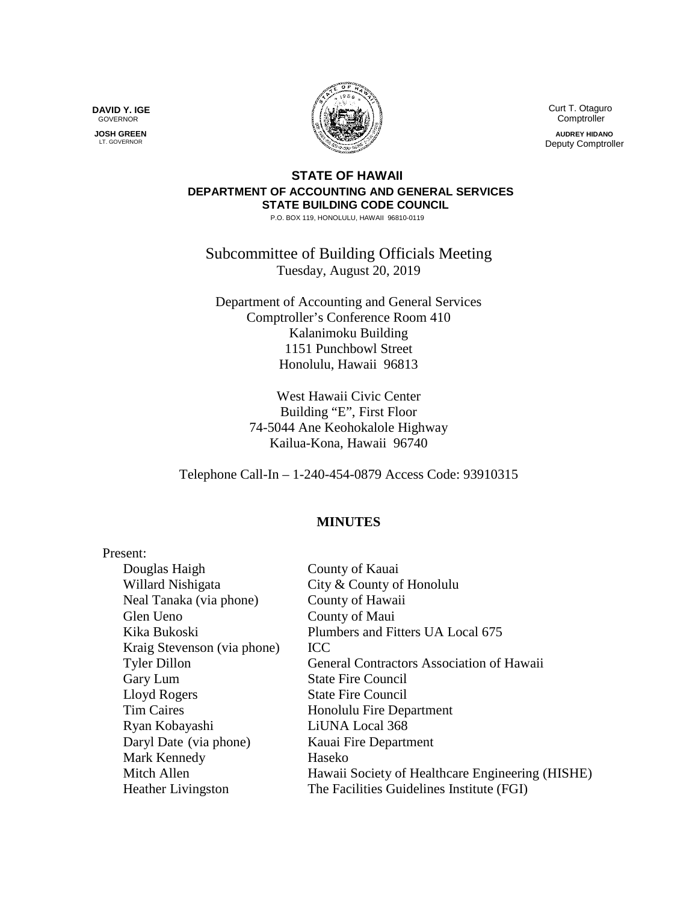**DAVID Y. IGE** GOVERNOR

 **JOSH GREEN** LT. GOVERNOR



 Curt T. Otaguro **Comptroller** 

**AUDREY HIDANO** Deputy Comptroller

## **STATE OF HAWAII DEPARTMENT OF ACCOUNTING AND GENERAL SERVICES STATE BUILDING CODE COUNCIL**

P.O. BOX 119, HONOLULU, HAWAII 96810-0119

Subcommittee of Building Officials Meeting Tuesday, August 20, 2019

Department of Accounting and General Services Comptroller's Conference Room 410 Kalanimoku Building 1151 Punchbowl Street Honolulu, Hawaii 96813

> West Hawaii Civic Center Building "E", First Floor 74-5044 Ane Keohokalole Highway Kailua-Kona, Hawaii 96740

Telephone Call-In – 1-240-454-0879 Access Code: 93910315

## **MINUTES**

| Present:                    |                                                  |
|-----------------------------|--------------------------------------------------|
| Douglas Haigh               | County of Kauai                                  |
| Willard Nishigata           | City & County of Honolulu                        |
| Neal Tanaka (via phone)     | County of Hawaii                                 |
| Glen Ueno                   | County of Maui                                   |
| Kika Bukoski                | Plumbers and Fitters UA Local 675                |
| Kraig Stevenson (via phone) | <b>ICC</b>                                       |
| <b>Tyler Dillon</b>         | General Contractors Association of Hawaii        |
| Gary Lum                    | <b>State Fire Council</b>                        |
| Lloyd Rogers                | <b>State Fire Council</b>                        |
| <b>Tim Caires</b>           | Honolulu Fire Department                         |
| Ryan Kobayashi              | LiUNA Local 368                                  |
| Daryl Date (via phone)      | Kauai Fire Department                            |
| Mark Kennedy                | Haseko                                           |
| Mitch Allen                 | Hawaii Society of Healthcare Engineering (HISHE) |
| <b>Heather Livingston</b>   | The Facilities Guidelines Institute (FGI)        |
|                             |                                                  |